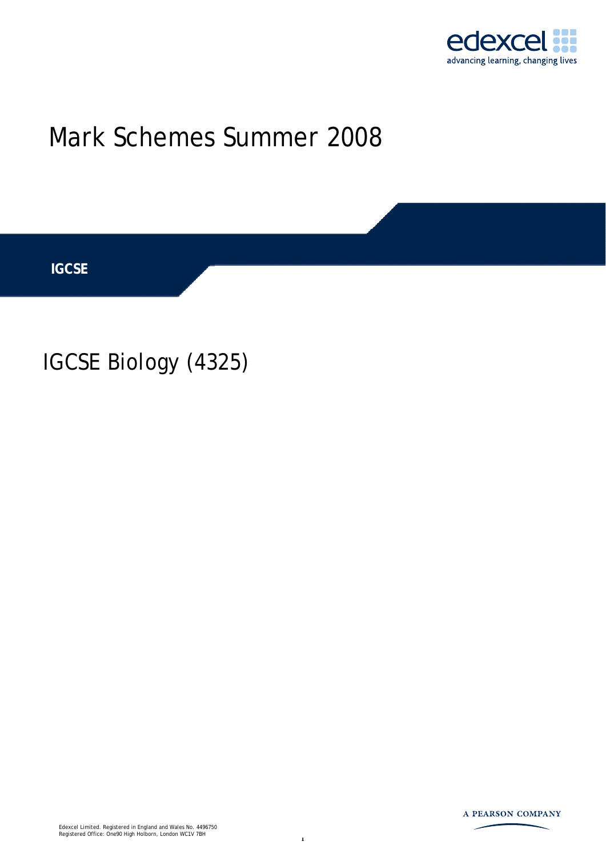

# Mark Schemes Summer 2008

**IGCSE** 

IGCSE Biology (4325)

Edexcel Limited. Registered in England and Wales No. 4496750 Registered Office: One90 High Holborn, London WC1V 7BH

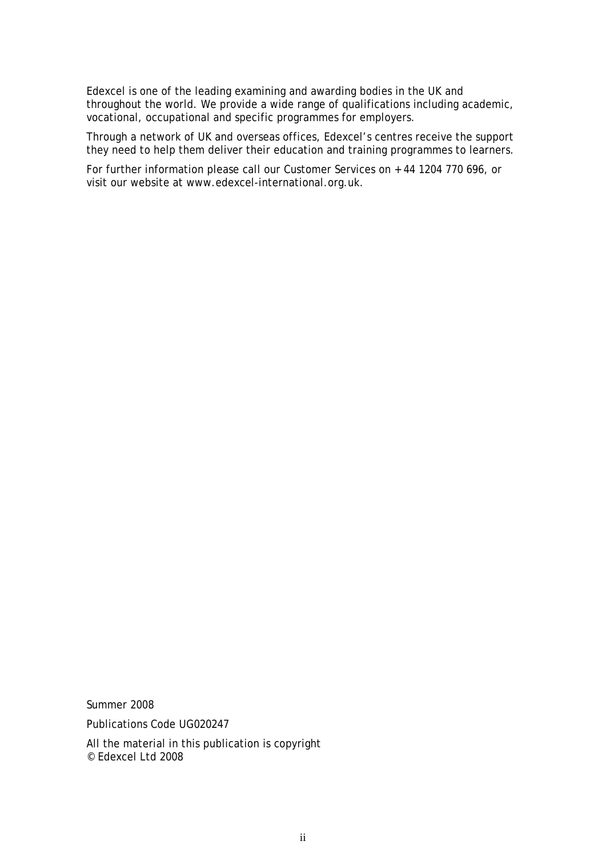Edexcel is one of the leading examining and awarding bodies in the UK and throughout the world. We provide a wide range of qualifications including academic, vocational, occupational and specific programmes for employers.

Through a network of UK and overseas offices, Edexcel's centres receive the support they need to help them deliver their education and training programmes to learners.

For further information please call our Customer Services on + 44 1204 770 696, or visit our website at www.edexcel-international.org.uk.

Summer 2008 Publications Code UG020247 All the material in this publication is copyright © Edexcel Ltd 2008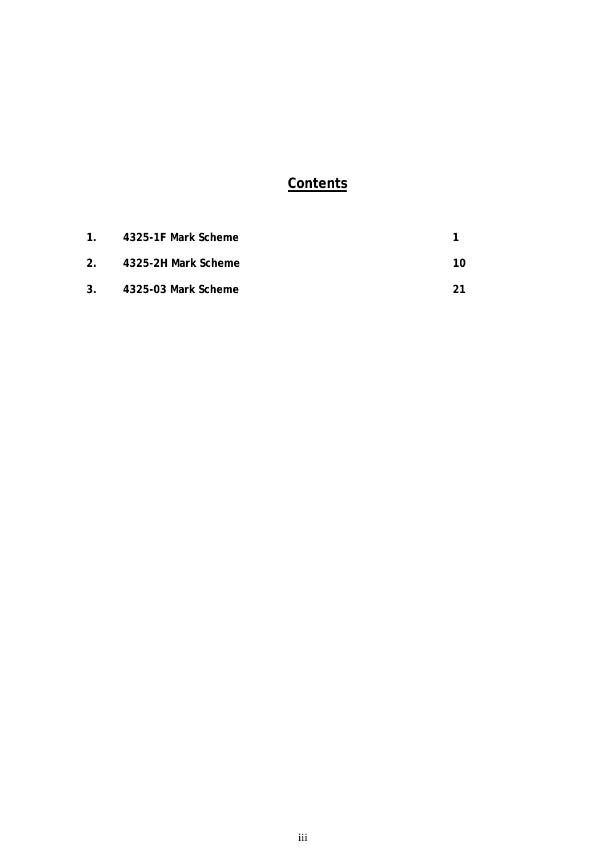# **Contents**

| 1 <sup>1</sup> | 4325-1F Mark Scheme    |    |
|----------------|------------------------|----|
|                | 2. 4325-2H Mark Scheme | 10 |
| 3.             | 4325-03 Mark Scheme    |    |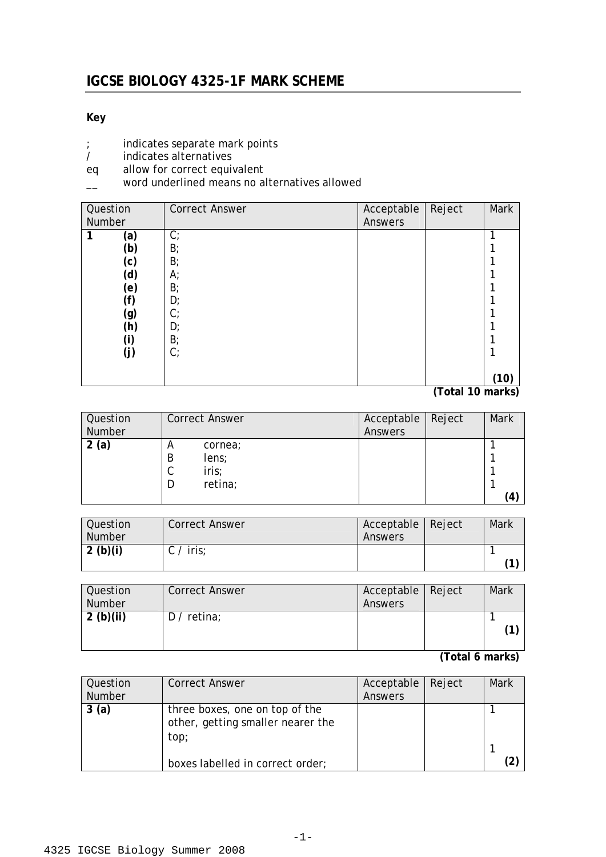## **IGCSE BIOLOGY 4325-1F MARK SCHEME**

#### **Key**

- ; indicates separate mark points<br>/ indicates alternatives
- / indicates alternatives
- eq allow for correct equivalent
- \_\_ word underlined means no alternatives allowed

| Question | <b>Correct Answer</b> | Acceptable     | Reject | Mark |
|----------|-----------------------|----------------|--------|------|
| Number   |                       | <b>Answers</b> |        |      |
| (a)      | $C$ ;                 |                |        | 1    |
| (b)      | B                     |                |        |      |
| (c)      | B;                    |                |        |      |
| (d)      | А;                    |                |        |      |
| (e)      | B                     |                |        |      |
| (f)      | D;                    |                |        |      |
| (g)      | $C$ ;                 |                |        |      |
| (h)      | D;                    |                |        |      |
| (i)      | B <sub>i</sub>        |                |        |      |
| (j)      | $C$ ;                 |                |        |      |
|          |                       |                |        |      |
|          |                       |                |        | (10) |

**(Total 10 marks)** 

| Question | <b>Correct Answer</b>       | Acceptable | Reject | Mark |
|----------|-----------------------------|------------|--------|------|
| Number   |                             | Answers    |        |      |
| (a)<br>2 | cornea;<br>A<br>B<br>lens;  |            |        |      |
|          | iris;<br>ັ<br>retina;<br>I) |            |        | 4    |

| Question      | <b>Correct Answer</b> | Acceptable   Reject | Mark |
|---------------|-----------------------|---------------------|------|
| <b>Number</b> |                       | Answers             |      |
| 2 (b)(i)      | $C /$ iris;           |                     |      |
|               |                       |                     | 74   |

| Question<br><b>Number</b> | <b>Correct Answer</b> | Acceptable   Reject<br>Answers | Mark |
|---------------------------|-----------------------|--------------------------------|------|
| 2(b)(ii)                  | $D /$ retina;         |                                |      |

| Question<br><b>Number</b> | <b>Correct Answer</b>                                                       | Acceptable<br>Answers | Reject | Mark |
|---------------------------|-----------------------------------------------------------------------------|-----------------------|--------|------|
| 3(a)                      | three boxes, one on top of the<br>other, getting smaller nearer the<br>top; |                       |        |      |
|                           | boxes labelled in correct order;                                            |                       |        |      |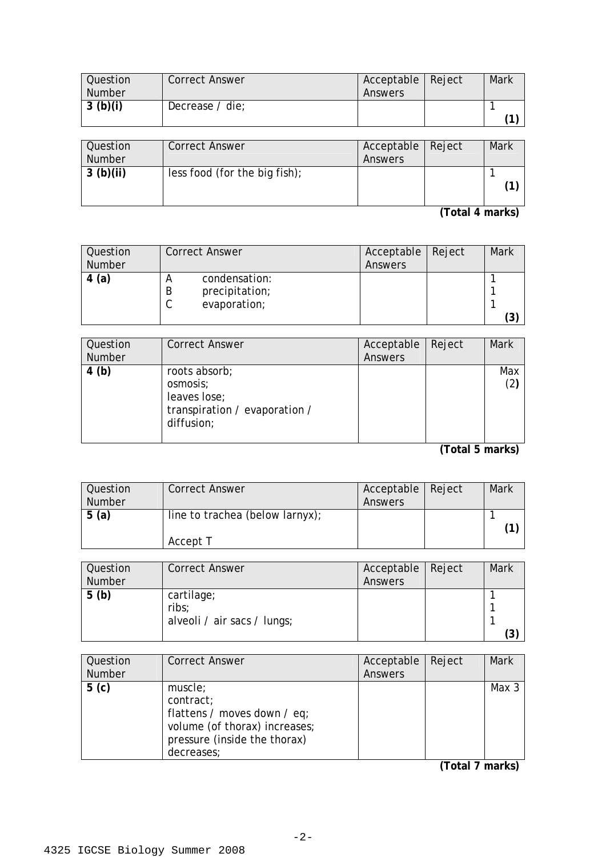| Question      | <b>Correct Answer</b> | Acceptable   Reject | Mark |
|---------------|-----------------------|---------------------|------|
| <b>Number</b> |                       | Answers             |      |
| 3(b)(i)       | Decrease / die;       |                     |      |
|               |                       |                     |      |

| Question      | <b>Correct Answer</b>         | Acceptable   Reject |                      | Mark |
|---------------|-------------------------------|---------------------|----------------------|------|
| <b>Number</b> |                               | Answers             |                      |      |
| 3(b)(ii)      | less food (for the big fish); |                     |                      |      |
|               |                               |                     | $\sim$ $\sim$ $\sim$ |      |

**(Total 4 marks)** 

| Question<br><b>Number</b> | <b>Correct Answer</b>                                | Acceptable<br>Answers | Reject | Mark |
|---------------------------|------------------------------------------------------|-----------------------|--------|------|
| 4(a)                      | condensation:<br>precipitation;<br>B<br>evaporation; |                       |        | ΄3   |

| Question<br><b>Number</b> | <b>Correct Answer</b>                                                                    | Acceptable<br>Answers | Reject | <b>Mark</b> |
|---------------------------|------------------------------------------------------------------------------------------|-----------------------|--------|-------------|
| 4(b)                      | roots absorb;<br>osmosis;<br>leaves lose;<br>transpiration / evaporation /<br>diffusion; |                       |        | Max<br>(2)  |

**(Total 5 marks)** 

| Question<br><b>Number</b> | <b>Correct Answer</b>                       | Acceptable   Reject<br><b>Answers</b> | Mark |
|---------------------------|---------------------------------------------|---------------------------------------|------|
| 5(a)                      | line to trachea (below larnyx);<br>Accept T |                                       |      |

| Question<br><b>Number</b> | <b>Correct Answer</b>                              | Acceptable Reject<br>Answers | Mark |
|---------------------------|----------------------------------------------------|------------------------------|------|
| 5(b)                      | cartilage;<br>ribs;<br>alveoli / air sacs / lungs; |                              | (ვ   |

| Question<br><b>Number</b> | <b>Correct Answer</b>                                                                                                              | Acceptable<br>Answers | Reject | <b>Mark</b> |
|---------------------------|------------------------------------------------------------------------------------------------------------------------------------|-----------------------|--------|-------------|
| 5(c)                      | muscle;<br>contract;<br>flattens / moves down / eq;<br>volume (of thorax) increases;<br>pressure (inside the thorax)<br>decreases; |                       |        | Max 3       |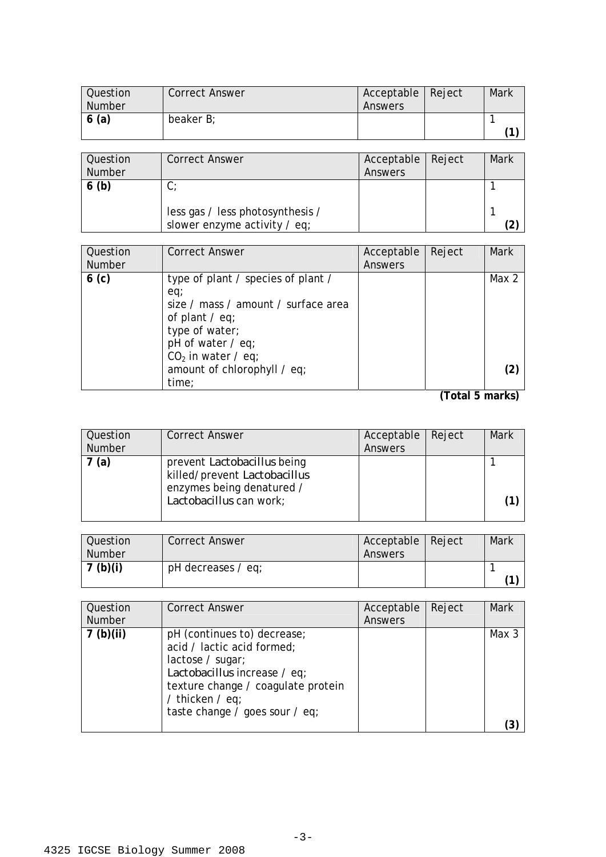| <b>Question</b><br><b>Number</b> | <b>Correct Answer</b> | Acceptable   Reject<br>Answers | Mark |
|----------------------------------|-----------------------|--------------------------------|------|
| 6(a)                             | beaker B;             |                                | (1)  |

| <b>Question</b><br>Number | <b>Correct Answer</b>                                            | Acceptable   Reject<br>Answers | Mark |
|---------------------------|------------------------------------------------------------------|--------------------------------|------|
| 6(b)                      | ◡                                                                |                                |      |
|                           | less gas / less photosynthesis /<br>slower enzyme activity / eq; |                                |      |

| Question<br><b>Number</b> | <b>Correct Answer</b>                                                                                                                                                                                          | Acceptable<br>Answers | Reject | <b>Mark</b> |
|---------------------------|----------------------------------------------------------------------------------------------------------------------------------------------------------------------------------------------------------------|-----------------------|--------|-------------|
| 6 <sub>(c)</sub>          | type of plant / species of plant /<br>eq;<br>size / mass / amount / surface area<br>of plant $\ell$ eq;<br>type of water;<br>pH of water / eq;<br>$CO2$ in water / eq;<br>amount of chlorophyll / eq;<br>time: |                       |        | Max 2       |

| Question<br><b>Number</b> | <b>Correct Answer</b>                                                                                                      | Acceptable | Reject | <b>Mark</b> |
|---------------------------|----------------------------------------------------------------------------------------------------------------------------|------------|--------|-------------|
|                           |                                                                                                                            | Answers    |        |             |
| 7 (a)                     | prevent <i>Lactobacillus</i> being<br>killed/prevent Lactobacillus<br>enzymes being denatured /<br>Lactobacillus can work; |            |        |             |

| Question<br>l Number | <b>Correct Answer</b> | Acceptable   Reject<br>Answers | Mark |
|----------------------|-----------------------|--------------------------------|------|
| 7 (b)(i)             | pH decreases / eq;    |                                |      |

| Question<br>Number | <b>Correct Answer</b>                                                                                                                                                                                    | Acceptable<br>Answers | Reject | <b>Mark</b> |
|--------------------|----------------------------------------------------------------------------------------------------------------------------------------------------------------------------------------------------------|-----------------------|--------|-------------|
| 7(b)(ii)           | pH (continues to) decrease;<br>acid / lactic acid formed;<br>lactose / sugar;<br>Lactobacillus increase / eq;<br>texture change / coagulate protein<br>/ thicken / eq;<br>taste change / goes sour / eq; |                       |        | Max 3       |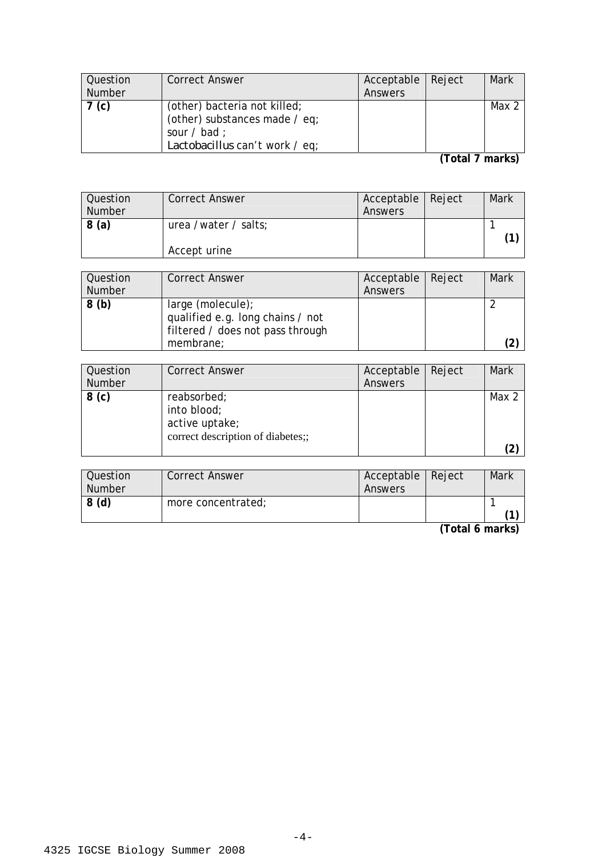| Question         | <b>Correct Answer</b>          | Acceptable   Reject | Mark  |
|------------------|--------------------------------|---------------------|-------|
| <b>Number</b>    |                                | Answers             |       |
| 7 <sub>(c)</sub> | (other) bacteria not killed;   |                     | Max 2 |
|                  | (other) substances made / eq;  |                     |       |
|                  | sour $\prime$ bad :            |                     |       |
|                  | Lactobacillus can't work / eq; |                     |       |

**(Total 7 marks)** 

| Question<br><b>Number</b> | <b>Correct Answer</b>                | Acceptable   Reject<br>Answers | Mark |
|---------------------------|--------------------------------------|--------------------------------|------|
| 8(a)                      | urea /water / salts;<br>Accept urine |                                |      |

| Question | <b>Correct Answer</b>                                                                     | Acceptable   Reject | Mark |
|----------|-------------------------------------------------------------------------------------------|---------------------|------|
| Number   |                                                                                           | Answers             |      |
| 8(b)     | large (molecule);<br>qualified e.g. long chains / not<br>filtered / does not pass through |                     |      |
|          | membrane;                                                                                 |                     | (2   |

| Question<br><b>Number</b> | <b>Correct Answer</b>                                                             | Acceptable<br>Answers | Reject | Mark  |
|---------------------------|-----------------------------------------------------------------------------------|-----------------------|--------|-------|
| 8 <sub>(c)</sub>          | reabsorbed;<br>into blood;<br>active uptake;<br>correct description of diabetes;; |                       |        | Max 2 |

| Question      | <b>Correct Answer</b> | Acceptable   Reject | Mark |
|---------------|-----------------------|---------------------|------|
| <b>Number</b> |                       | Answers             |      |
| 8(d)          | more concentrated;    |                     |      |
|               |                       |                     |      |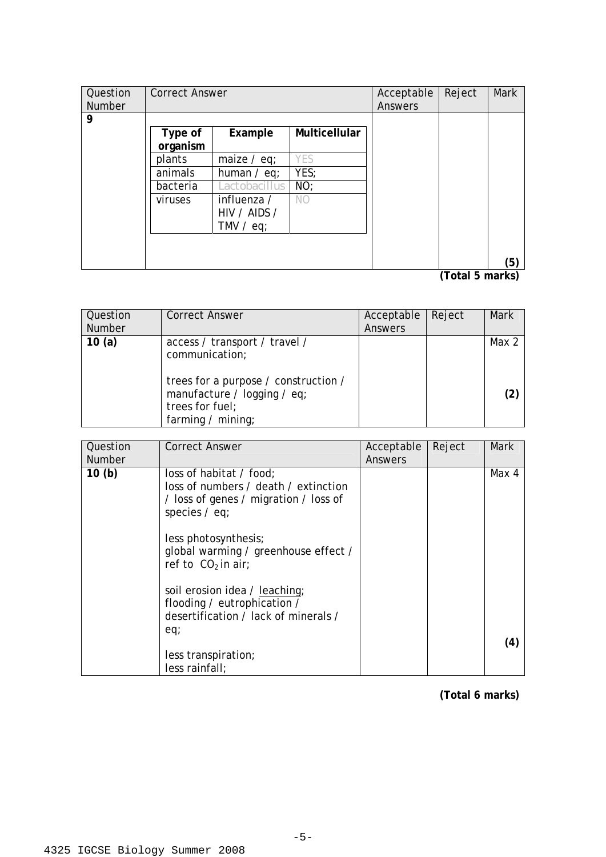| Question      | <b>Correct Answer</b> |               |               | Acceptable     | Reject               | Mark |
|---------------|-----------------------|---------------|---------------|----------------|----------------------|------|
| <b>Number</b> |                       |               |               | <b>Answers</b> |                      |      |
| 9             |                       |               |               |                |                      |      |
|               | Type of               | Example       | Multicellular |                |                      |      |
|               | organism              |               |               |                |                      |      |
|               | plants                | maize $/$ eq; | YES           |                |                      |      |
|               | animals               | human $/$ eq; | YES;          |                |                      |      |
|               | bacteria              | Lactobacillus | NO;           |                |                      |      |
|               | viruses               | influenza /   | NO.           |                |                      |      |
|               |                       | HIV / AIDS /  |               |                |                      |      |
|               |                       | TMV $/$ eq;   |               |                |                      |      |
|               |                       |               |               |                |                      |      |
|               |                       |               |               |                |                      |      |
|               |                       |               |               |                | $\sim$ $\sim$ $\sim$ | (5)  |

**(Total 5 marks)** 

| <b>Question</b><br><b>Number</b> | <b>Correct Answer</b>                                                                                                                                           | Acceptable<br>Answers | Reject | <b>Mark</b>  |
|----------------------------------|-----------------------------------------------------------------------------------------------------------------------------------------------------------------|-----------------------|--------|--------------|
| 10(a)                            | access / transport / travel /<br>communication;<br>trees for a purpose / construction /<br>manufacture / logging / eq;<br>trees for fuel;<br>farming / $minq$ ; |                       |        | Max 2<br>(2) |

| Question          | <b>Correct Answer</b>                                                                                                                                                                                                                                                               | Acceptable | Reject | Mark  |
|-------------------|-------------------------------------------------------------------------------------------------------------------------------------------------------------------------------------------------------------------------------------------------------------------------------------|------------|--------|-------|
| Number            |                                                                                                                                                                                                                                                                                     | Answers    |        |       |
| 10 <sub>(b)</sub> | loss of habitat / food;<br>loss of numbers / death / extinction<br>/ loss of genes / migration / loss of<br>species $/$ eq;<br>less photosynthesis;<br>global warming / greenhouse effect /<br>ref to $CO2$ in air;<br>soil erosion idea / leaching;<br>flooding / eutrophication / |            |        | Max 4 |
|                   | desertification / lack of minerals /<br>eq;<br>less transpiration;<br>less rainfall;                                                                                                                                                                                                |            |        | (4)   |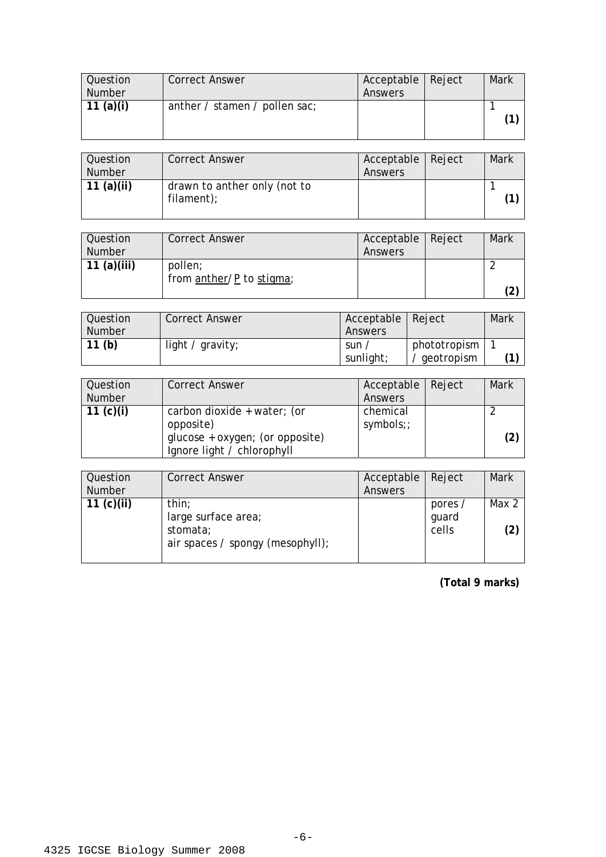| Question      | <b>Correct Answer</b>         | Acceptable   Reject | Mark |
|---------------|-------------------------------|---------------------|------|
| <b>Number</b> |                               | Answers             |      |
| 11 $(a)(i)$   | anther / stamen / pollen sac; |                     |      |
|               |                               |                     |      |
|               |                               |                     |      |

| Question<br>Number | <b>Correct Answer</b>                      | Acceptable   Reject<br>Answers | Mark |
|--------------------|--------------------------------------------|--------------------------------|------|
| 11 $(a)(ii)$       | drawn to anther only (not to<br>filament); |                                |      |

| Question<br><b>Number</b> | <b>Correct Answer</b>    | Acceptable   Reject<br>Answers | Mark |
|---------------------------|--------------------------|--------------------------------|------|
| 11 $(a)(iii)$             | pollen;                  |                                |      |
|                           | from anther/P to stigma; |                                |      |

| Question          | <b>Correct Answer</b> | Acceptable   Reject |              | Mark |
|-------------------|-----------------------|---------------------|--------------|------|
| Number            |                       | Answers             |              |      |
| 11 <sub>(b)</sub> | light / $gravity$ ;   | sun,                | phototropism |      |
|                   |                       | sunlight;           | geotropism   |      |

| Question<br><b>Number</b> | <b>Correct Answer</b>                                                                                     | Acceptable Reject<br>Answers | <b>Mark</b> |
|---------------------------|-----------------------------------------------------------------------------------------------------------|------------------------------|-------------|
| 11 $(c)(i)$               | carbon dioxide + water; (or<br>opposite)<br>glucose + oxygen; (or opposite)<br>Ignore light / chlorophyll | chemical<br>symbols;;        | (2)         |

| Question<br><b>Number</b> | <b>Correct Answer</b>                                                        | Acceptable   Reject<br>Answers |                           | Mark         |
|---------------------------|------------------------------------------------------------------------------|--------------------------------|---------------------------|--------------|
| 11 $(c)(ii)$              | thin;<br>large surface area;<br>stomata;<br>air spaces / spongy (mesophyll); |                                | pores /<br>quard<br>cells | Max 2<br>(2) |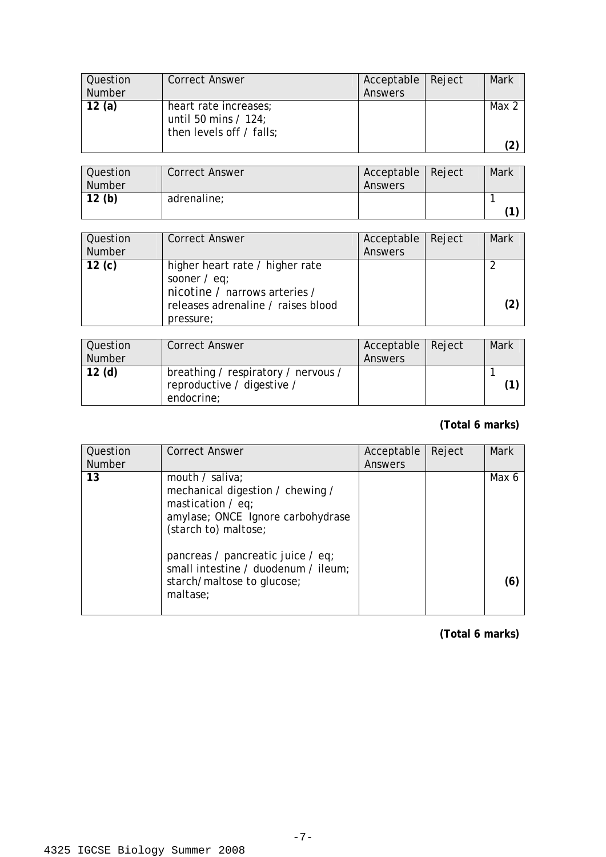| Question      | <b>Correct Answer</b>                                                       | Acceptable | Reject | Mark  |
|---------------|-----------------------------------------------------------------------------|------------|--------|-------|
| <b>Number</b> |                                                                             | Answers    |        |       |
| 12 $(a)$      | heart rate increases;<br>until 50 mins $/$ 124;<br>then levels off / falls; |            |        | Max 2 |
|               |                                                                             |            |        | 2     |

| Question<br><b>Number</b> | <b>Correct Answer</b> | Acceptable<br>Answers | Reject | Mark |
|---------------------------|-----------------------|-----------------------|--------|------|
| 12(b)                     | adrenaline;           |                       |        |      |

| Question<br><b>Number</b> | <b>Correct Answer</b>                                                                                                                 | Acceptable   Reject<br>Answers | Mark |
|---------------------------|---------------------------------------------------------------------------------------------------------------------------------------|--------------------------------|------|
| 12 $(c)$                  | higher heart rate / higher rate<br>sooner $/$ eq;<br>nicotine / narrows arteries /<br>releases adrenaline / raises blood<br>pressure; |                                | (2)  |

| Question<br><b>Number</b> | <b>Correct Answer</b>                                                           | Acceptable   Reject<br>Answers | Mark |
|---------------------------|---------------------------------------------------------------------------------|--------------------------------|------|
| 12 <sub>(d)</sub>         | breathing / respiratory / nervous /<br>reproductive / digestive /<br>endocrine; |                                |      |

# **(Total 6 marks)**

| Question<br><b>Number</b> | <b>Correct Answer</b>                                                                                                                   | Acceptable<br>Answers | Reject | Mark  |
|---------------------------|-----------------------------------------------------------------------------------------------------------------------------------------|-----------------------|--------|-------|
| 13                        | mouth / saliva;<br>mechanical digestion / chewing /<br>mastication $/$ eq;<br>amylase; ONCE Ignore carbohydrase<br>(starch to) maltose; |                       |        | Max 6 |
|                           | pancreas / pancreatic juice / eq;<br>small intestine / duodenum / ileum;<br>starch/maltose to glucose;<br>maltase;                      |                       |        | (6)   |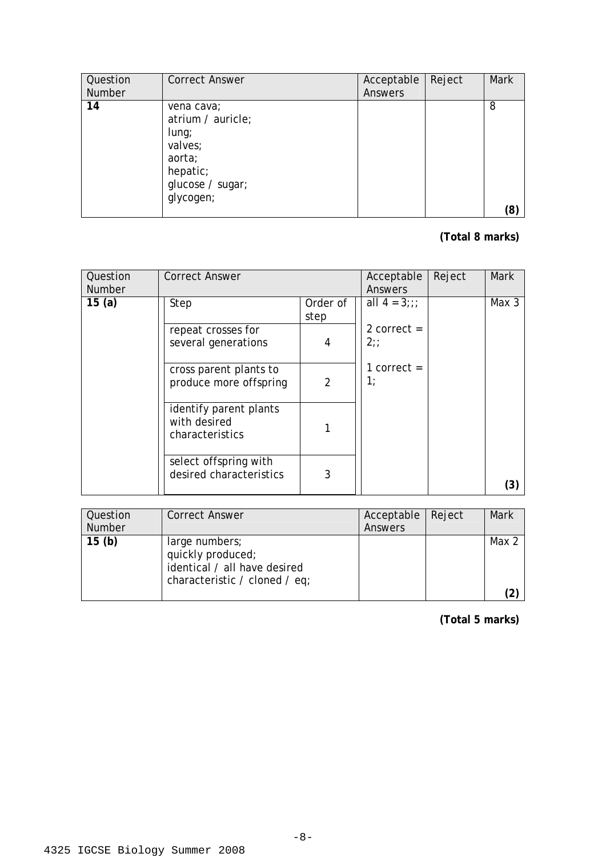| Question | <b>Correct Answer</b>                                                                                         | Acceptable | Reject | <b>Mark</b> |
|----------|---------------------------------------------------------------------------------------------------------------|------------|--------|-------------|
| Number   |                                                                                                               | Answers    |        |             |
| 14       | vena cava;<br>atrium / auricle;<br>$l$ ung;<br>valves;<br>aorta;<br>hepatic;<br>glucose / sugar;<br>glycogen; |            |        | 8<br>(8)    |

## **(Total 8 marks)**

| Question<br><b>Number</b> | <b>Correct Answer</b>                                     |                  | Acceptable<br>Answers | Reject | <b>Mark</b> |
|---------------------------|-----------------------------------------------------------|------------------|-----------------------|--------|-------------|
| 15 $(a)$                  | Step                                                      | Order of<br>step | all $4 = 3$ ;;;       |        | Max 3       |
|                           | repeat crosses for<br>several generations                 | 4                | 2 correct $=$<br>2:   |        |             |
|                           | cross parent plants to<br>produce more offspring          | $\overline{2}$   | 1 correct $=$<br>1;   |        |             |
|                           | identify parent plants<br>with desired<br>characteristics |                  |                       |        |             |
|                           | select offspring with<br>desired characteristics          | 3                |                       |        | (3)         |

| Question      | <b>Correct Answer</b>                                                                                | Acceptable   Reject | Mark  |
|---------------|------------------------------------------------------------------------------------------------------|---------------------|-------|
| <b>Number</b> |                                                                                                      | Answers             |       |
| 15(b)         | large numbers;<br>quickly produced;<br>identical / all have desired<br>characteristic / cloned / eq; |                     | Max 2 |
|               |                                                                                                      |                     |       |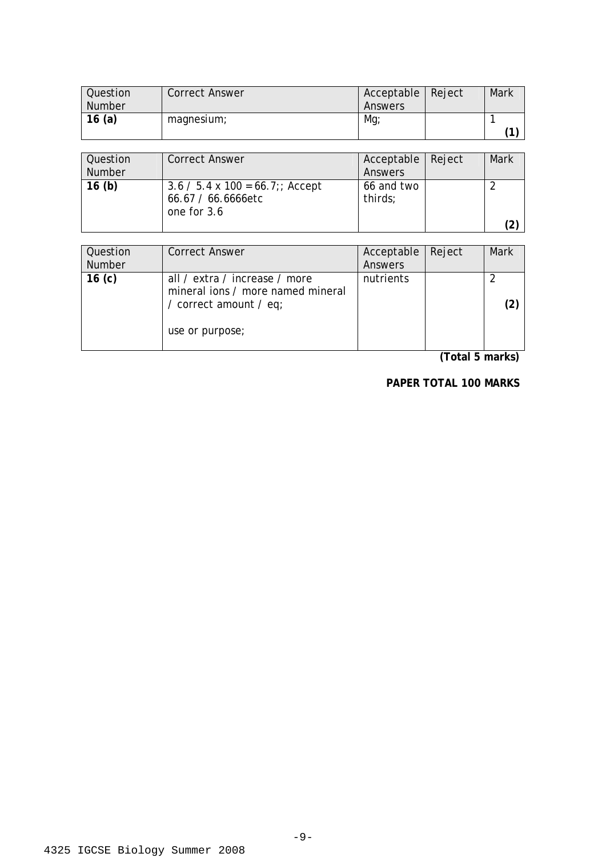| Question | <b>Correct Answer</b> | Acceptable | Reject | Mark |
|----------|-----------------------|------------|--------|------|
| Number   |                       | Answers    |        |      |
| 16(a)    | magnesium;            | Mg         |        |      |
|          |                       |            |        | 74   |

| Question<br>Number | <b>Correct Answer</b>                                                          | Acceptable   Reject<br>Answers | Mark |
|--------------------|--------------------------------------------------------------------------------|--------------------------------|------|
| 16(b)              | $3.6 / 5.4 \times 100 = 66.7$ ;; Accept<br>66.67 / 66.6666etc<br>one for $3.6$ | 66 and two<br>thirds;          |      |

| Question<br><b>Number</b> | <b>Correct Answer</b>                                                                                           | Acceptable<br>Answers | Reject | Mark |
|---------------------------|-----------------------------------------------------------------------------------------------------------------|-----------------------|--------|------|
| 16 <sub>(c)</sub>         | all / extra / increase / more<br>mineral ions / more named mineral<br>/ correct amount / eq;<br>use or purpose; | nutrients             |        |      |

**(Total 5 marks)** 

**PAPER TOTAL 100 MARKS**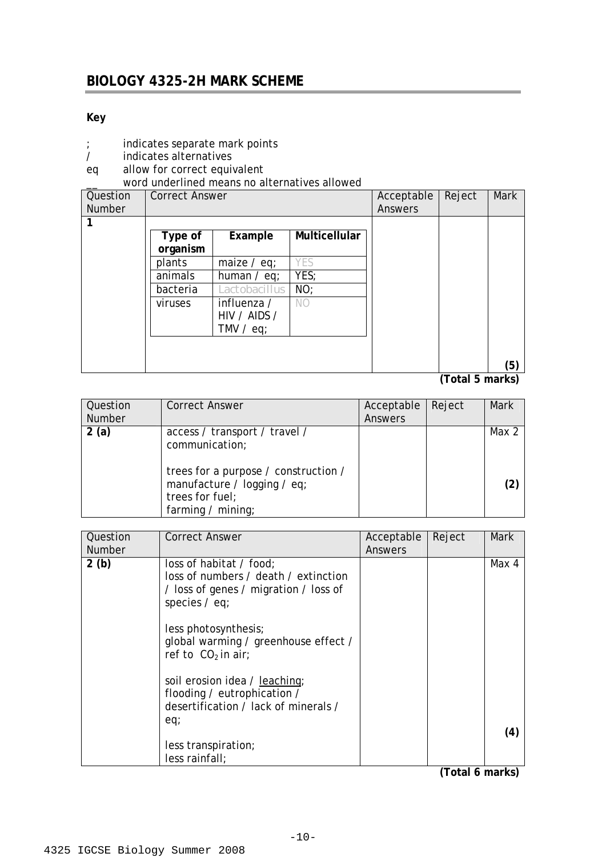# **Key**

- ; indicates separate mark points<br>/ indicates alternatives
- / indicates alternatives
- eq allow for correct equivalent

\_\_ word underlined means no alternatives allowed

| Question<br><b>Number</b> | <b>Correct Answer</b> |                                            | Acceptable<br>Answers | Reject | <b>Mark</b> |     |
|---------------------------|-----------------------|--------------------------------------------|-----------------------|--------|-------------|-----|
|                           |                       |                                            |                       |        |             |     |
|                           |                       |                                            |                       |        |             |     |
|                           | Type of               | Example                                    | Multicellular         |        |             |     |
|                           | organism              |                                            |                       |        |             |     |
|                           | plants                | maize $/$ eq;                              | YES                   |        |             |     |
|                           | animals               | human $/$ eq;                              | YES;                  |        |             |     |
|                           | bacteria              | Lactobacillus                              | NO;                   |        |             |     |
|                           | viruses               | influenza /<br>HIV / AIDS /<br>TMV $/$ eq; | NO                    |        |             |     |
|                           |                       |                                            |                       |        |             | (5) |

**<sup>(</sup>Total 5 marks)** 

| Question<br><b>Number</b> | <b>Correct Answer</b>                                                                                                                                          | Acceptable<br>Answers | Reject | <b>Mark</b>                |
|---------------------------|----------------------------------------------------------------------------------------------------------------------------------------------------------------|-----------------------|--------|----------------------------|
| 2(a)                      | access / transport / travel /<br>communication;<br>trees for a purpose / construction /<br>manufacture / logging / eq;<br>trees for fuel;<br>farming / mining; |                       |        | Max 2<br>$\left( 2\right)$ |

| Question<br><b>Number</b> | <b>Correct Answer</b>                                                                                                       | Acceptable<br>Answers | Reject | <b>Mark</b> |
|---------------------------|-----------------------------------------------------------------------------------------------------------------------------|-----------------------|--------|-------------|
| 2(b)                      | loss of habitat / food;<br>loss of numbers / death / extinction<br>/ loss of genes / migration / loss of<br>species $/$ eq; |                       |        | Max 4       |
|                           | less photosynthesis;<br>global warming / greenhouse effect /<br>ref to $CO2$ in air;                                        |                       |        |             |
|                           | soil erosion idea / leaching;<br>flooding / eutrophication /<br>desertification / lack of minerals /<br>eq;                 |                       |        |             |
|                           | less transpiration;<br>less rainfall;                                                                                       |                       |        | (4)         |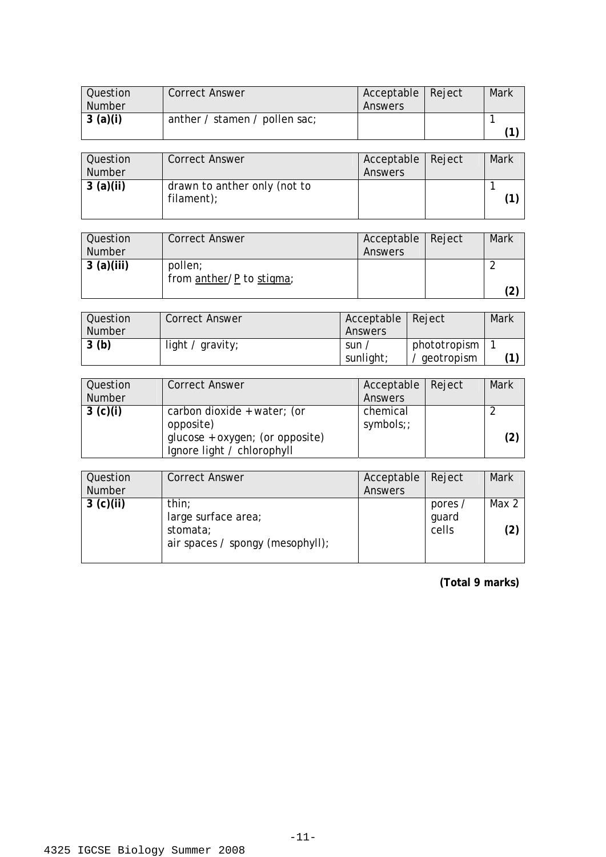| Question      | <b>Correct Answer</b>         | Acceptable   Reject | Mark |
|---------------|-------------------------------|---------------------|------|
| <b>Number</b> |                               | Answers             |      |
| 3(a)(i)       | anther / stamen / pollen sac; |                     |      |
|               |                               |                     |      |

| Question<br>Number | <b>Correct Answer</b>                      | Acceptable   Reject<br>Answers | Mark |
|--------------------|--------------------------------------------|--------------------------------|------|
| 3(a)(ii)           | drawn to anther only (not to<br>filament); |                                |      |

| <b>Question</b><br><b>Number</b> | <b>Correct Answer</b>               | Acceptable   Reject<br>Answers | Mark |
|----------------------------------|-------------------------------------|--------------------------------|------|
| 3(a)(iii)                        | pollen;<br>from anther/P to stigma; |                                |      |

| Question | <b>Correct Answer</b> | Acceptable   Reject |              | Mark |
|----------|-----------------------|---------------------|--------------|------|
| Number   |                       | Answers             |              |      |
| 3(b)     | light / $gravity$ ;   | sun,                | phototropism |      |
|          |                       | sunlight;           | ' geotropism |      |

| Question<br>Number | <b>Correct Answer</b>                                                                                     | Acceptable<br>Answers | Reject | <b>Mark</b> |
|--------------------|-----------------------------------------------------------------------------------------------------------|-----------------------|--------|-------------|
| 3 (c)(i)           | carbon dioxide + water; (or<br>opposite)<br>glucose + oxygen; (or opposite)<br>Ignore light / chlorophyll | chemical<br>symbols;; |        | (2)         |

| Question<br><b>Number</b> | <b>Correct Answer</b>                                                        | Acceptable<br>Answers | Reject                    | Mark         |
|---------------------------|------------------------------------------------------------------------------|-----------------------|---------------------------|--------------|
| 3 (c)(ii)                 | thin;<br>large surface area;<br>stomata;<br>air spaces / spongy (mesophyll); |                       | pores /<br>guard<br>cells | Max 2<br>(2) |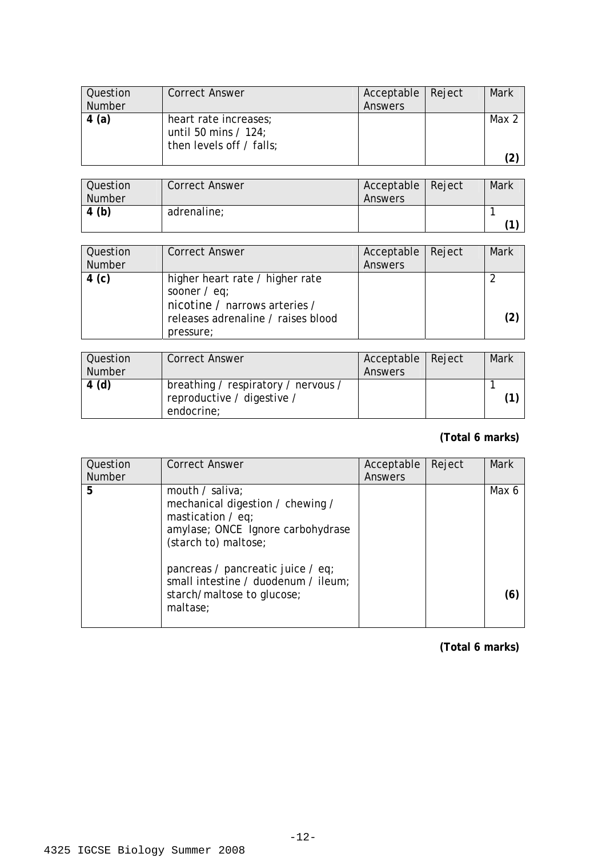| Question<br><b>Number</b> | <b>Correct Answer</b>                                                       | Acceptable   Reject<br>Answers | Mark  |
|---------------------------|-----------------------------------------------------------------------------|--------------------------------|-------|
| 4(a)                      | heart rate increases;<br>until 50 mins $/$ 124;<br>then levels off / falls; |                                | Max 2 |
|                           |                                                                             |                                |       |

| Question<br><b>Number</b> | <b>Correct Answer</b> | Acceptable   Reject<br>Answers | Mark |
|---------------------------|-----------------------|--------------------------------|------|
| 4(b)                      | adrenaline;           |                                |      |
|                           |                       |                                |      |

| Question<br><b>Number</b> | <b>Correct Answer</b>                                                                                                                 | Acceptable   Reject<br>Answers | Mark |
|---------------------------|---------------------------------------------------------------------------------------------------------------------------------------|--------------------------------|------|
| 4 (c)                     | higher heart rate / higher rate<br>sooner $/$ eq;<br>nicotine / narrows arteries /<br>releases adrenaline / raises blood<br>pressure; |                                |      |

| Question<br><b>Number</b> | <b>Correct Answer</b>                                                           | Acceptable   Reject<br>Answers | <b>Mark</b> |
|---------------------------|---------------------------------------------------------------------------------|--------------------------------|-------------|
| 4(d)                      | breathing / respiratory / nervous /<br>reproductive / digestive /<br>endocrine; |                                |             |

## **(Total 6 marks)**

| Question      | <b>Correct Answer</b>                                                                                                                   | Acceptable | Reject | <b>Mark</b> |
|---------------|-----------------------------------------------------------------------------------------------------------------------------------------|------------|--------|-------------|
| <b>Number</b> |                                                                                                                                         | Answers    |        |             |
| 5             | mouth / saliva;<br>mechanical digestion / chewing /<br>mastication $/$ eq;<br>amylase; ONCE Ignore carbohydrase<br>(starch to) maltose; |            |        | Max 6       |
|               | pancreas / pancreatic juice / eq;<br>small intestine / duodenum / ileum;<br>starch/maltose to glucose;<br>maltase;                      |            |        |             |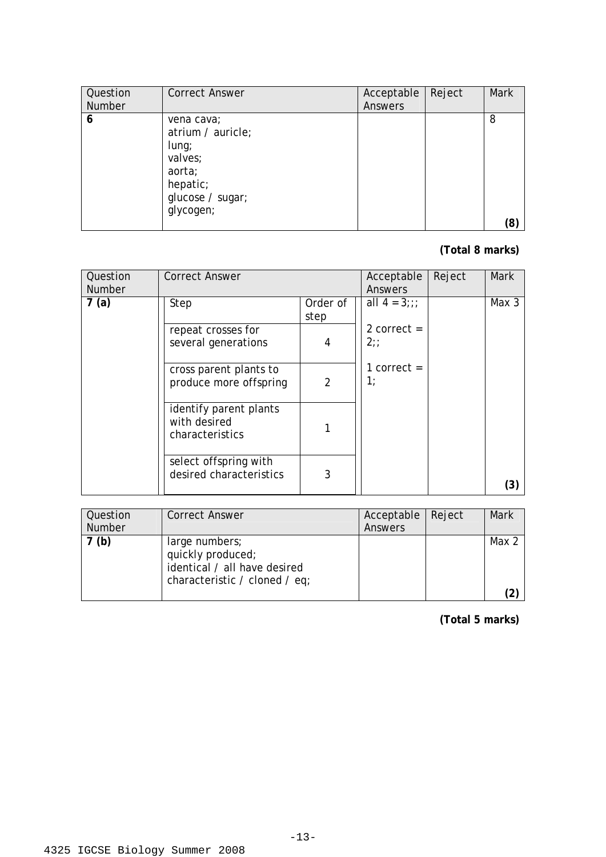| Question      | <b>Correct Answer</b>                                                                                         | Acceptable | Reject | <b>Mark</b> |
|---------------|---------------------------------------------------------------------------------------------------------------|------------|--------|-------------|
| <b>Number</b> |                                                                                                               | Answers    |        |             |
| 6             | vena cava;<br>atrium / auricle;<br>$l$ ung;<br>valves;<br>aorta;<br>hepatic;<br>glucose / sugar;<br>glycogen; |            |        | 8<br>(8)    |

#### **(Total 8 marks)**

| Question<br><b>Number</b> | <b>Correct Answer</b>                                     |                  | Acceptable<br>Answers | Reject | <b>Mark</b> |
|---------------------------|-----------------------------------------------------------|------------------|-----------------------|--------|-------------|
| 7(a)                      | Step                                                      | Order of<br>step | all $4 = 3$ ;;;       |        | Max 3       |
|                           | repeat crosses for<br>several generations                 | 4                | 2 correct $=$<br>2:   |        |             |
|                           | cross parent plants to<br>produce more offspring          | $\overline{2}$   | 1 correct $=$<br>1:   |        |             |
|                           | identify parent plants<br>with desired<br>characteristics |                  |                       |        |             |
|                           | select offspring with<br>desired characteristics          | 3                |                       |        | (3)         |

| Question      | <b>Correct Answer</b>                                                                                | Acceptable   Reject | Mark  |
|---------------|------------------------------------------------------------------------------------------------------|---------------------|-------|
| <b>Number</b> |                                                                                                      | Answers             |       |
| (b)           | large numbers;<br>quickly produced;<br>identical / all have desired<br>characteristic / cloned / eq; |                     | Max 2 |
|               |                                                                                                      |                     |       |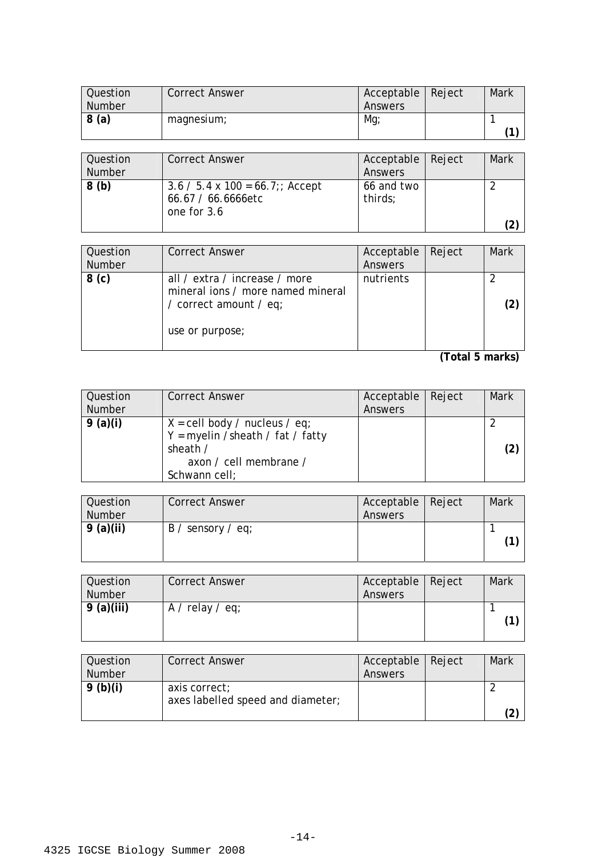| <b>Question</b> | <b>Correct Answer</b> | Acceptable   Reject | Mark |
|-----------------|-----------------------|---------------------|------|
| Number          |                       | Answers             |      |
| 8 (a)           | magnesium;            | Mg                  |      |
|                 |                       |                     | 1)   |

| Question<br>Number | <b>Correct Answer</b>                                                        | Acceptable   Reject<br>Answers | Mark |
|--------------------|------------------------------------------------------------------------------|--------------------------------|------|
| 8(b)               | $3.6 / 5.4 \times 100 = 66.7$ ;; Accept<br>66.67 / 66.6666etc<br>one for 3.6 | 66 and two<br>thirds;          |      |

| Question<br><b>Number</b> | <b>Correct Answer</b>                                                                                           | Acceptable<br>Answers | Reject                               | Mark |
|---------------------------|-----------------------------------------------------------------------------------------------------------------|-----------------------|--------------------------------------|------|
| 8 <sub>(c)</sub>          | all / extra / increase / more<br>mineral jons / more named mineral<br>/ correct amount / eq;<br>use or purpose; | nutrients             |                                      |      |
|                           |                                                                                                                 |                       | $\sqrt{2}$ . $\sqrt{2}$ . $\sqrt{2}$ |      |

| Question | <b>Correct Answer</b>                                                                                                                                | Acceptable | Reject | <b>Mark</b>       |
|----------|------------------------------------------------------------------------------------------------------------------------------------------------------|------------|--------|-------------------|
| Number   |                                                                                                                                                      | Answers    |        |                   |
| 9(a)(i)  | $X = \text{cell body } / \text{ nucleus } / \text{ eq};$<br>$Y = myelin / sheath / fat / fat$<br>sheath /<br>axon / cell membrane /<br>Schwann cell; |            |        | $\left( 2\right)$ |

| Question<br><b>Number</b> | <b>Correct Answer</b> | Acceptable   Reject<br>Answers | Mark |
|---------------------------|-----------------------|--------------------------------|------|
| 9(a)(ii)                  | $B /$ sensory / eq;   |                                |      |

| <b>Question</b><br>Number | <b>Correct Answer</b> | Acceptable Reject<br>Answers | <b>Mark</b> |
|---------------------------|-----------------------|------------------------------|-------------|
| 9 (a)(iii)                | $A /$ relay / eq;     |                              |             |

| Question      | Correct Answer                    | Acceptable   Reject | Mark |
|---------------|-----------------------------------|---------------------|------|
| <b>Number</b> |                                   | Answers             |      |
| 9(b)(i)       | axis correct;                     |                     |      |
|               | axes labelled speed and diameter; |                     |      |
|               |                                   |                     |      |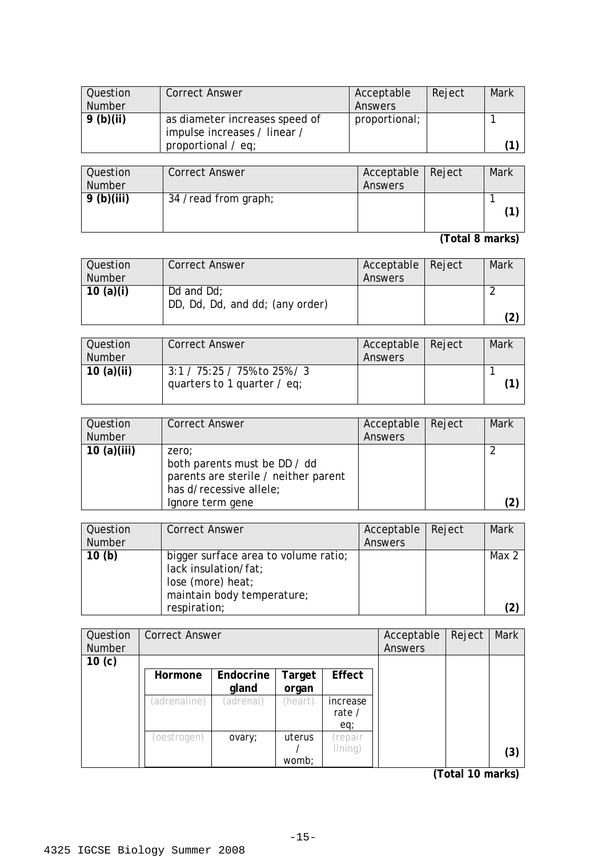| Question<br><b>Number</b> | <b>Correct Answer</b>          | Acceptable<br>Answers | Reject | <b>Mark</b> |
|---------------------------|--------------------------------|-----------------------|--------|-------------|
|                           |                                |                       |        |             |
| 9(b)(ii)                  | as diameter increases speed of | proportional;         |        |             |
|                           | impulse increases / linear /   |                       |        |             |
|                           | proportional $\angle$ eq;      |                       |        |             |
|                           |                                |                       |        |             |
| Question                  | <b>Correct Answer</b>          | Acceptable            | Reject | Mark        |
| <b>Number</b>             |                                | Answers               |        |             |
| 9(b)(iii)                 | 34 /read from graph;           |                       |        |             |
|                           |                                |                       |        |             |
|                           |                                |                       |        |             |

**(Total 8 marks)** 

| Question      | <b>Correct Answer</b>           | Acceptable   Reject | Mark |
|---------------|---------------------------------|---------------------|------|
| <b>Number</b> |                                 | Answers             |      |
| 10 $(a)(i)$   | Dd and $Dd$ :                   |                     |      |
|               | DD, Dd, Dd, and dd; (any order) |                     |      |
|               |                                 |                     | (2   |

| Question<br><b>Number</b> | <b>Correct Answer</b>                                          | Acceptable   Reject<br>Answers | Mark |
|---------------------------|----------------------------------------------------------------|--------------------------------|------|
| 10 $(a)(ii)$              | $3:1 / 75:25 / 75\%$ to 25% / 3<br>quarters to 1 quarter / eq; |                                |      |

| Question<br>Number | <b>Correct Answer</b>                                                                                                        | Acceptable<br>Answers | Reject | <b>Mark</b> |
|--------------------|------------------------------------------------------------------------------------------------------------------------------|-----------------------|--------|-------------|
| 10 $(a)(iii)$      | zero:<br>both parents must be DD / dd<br>parents are sterile / neither parent<br>has d/recessive allele;<br>Ignore term gene |                       |        | (2          |

| Question      | <b>Correct Answer</b>                | Acceptable | Reject | <b>Mark</b> |
|---------------|--------------------------------------|------------|--------|-------------|
| <b>Number</b> |                                      | Answers    |        |             |
| 10(h)         | bigger surface area to volume ratio; |            |        | Max 2       |
|               | lack insulation/fat;                 |            |        |             |
|               | lose (more) heat;                    |            |        |             |
|               | maintain body temperature;           |            |        |             |
|               | respiration;                         |            |        |             |

| Question          | <b>Correct Answer</b> |           |         |          | Acceptable | Reject | Mark |
|-------------------|-----------------------|-----------|---------|----------|------------|--------|------|
| Number            |                       |           |         |          | Answers    |        |      |
| 10 <sub>(c)</sub> |                       |           |         |          |            |        |      |
|                   | Hormone               | Endocrine | Target  | Effect   |            |        |      |
|                   |                       | gland     | organ   |          |            |        |      |
|                   | (adrenaline)          | (adrenal) | (heart) | increase |            |        |      |
|                   |                       |           |         | rate /   |            |        |      |
|                   |                       |           |         | eq;      |            |        |      |
|                   | (oestrogen)           | ovary;    | uterus  | repair)  |            |        |      |
|                   |                       |           |         | lining)  |            |        | (3)  |
|                   |                       |           | womb;   |          |            |        |      |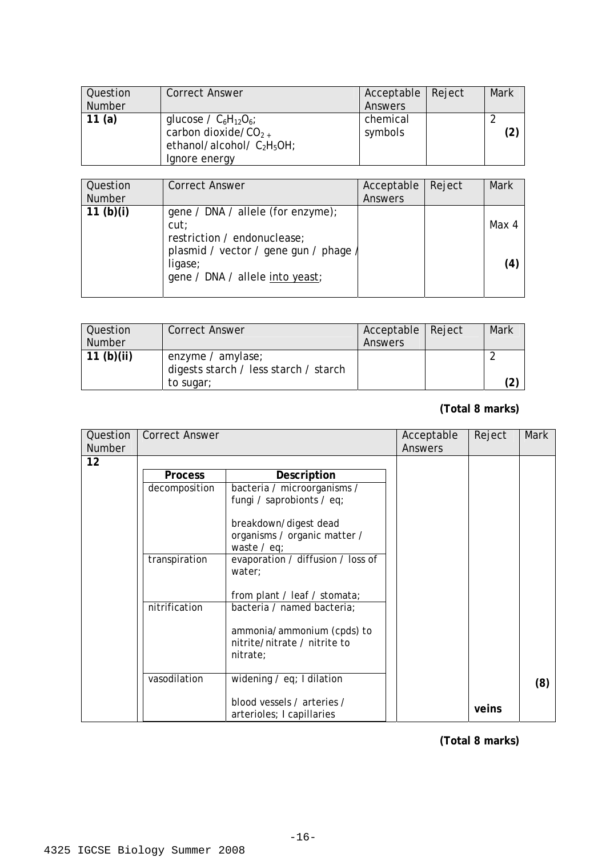| Question      | <b>Correct Answer</b>         | Acceptable | Reject | Mark |
|---------------|-------------------------------|------------|--------|------|
| <b>Number</b> |                               | Answers    |        |      |
| 11 $(a)$      | glucose / $C_6H_{12}O_6$ ;    | chemical   |        |      |
|               | carbon dioxide/ $CO_{2+}$     | symbols    |        |      |
|               | ethanol/alcohol/ $C_2H_5OH$ ; |            |        |      |
|               | Ignore energy                 |            |        |      |

| Question<br><b>Number</b> | <b>Correct Answer</b>                                                                                                                                         | Acceptable<br>Answers | Reject | Mark         |
|---------------------------|---------------------------------------------------------------------------------------------------------------------------------------------------------------|-----------------------|--------|--------------|
| 11 $(b)(i)$               | gene / DNA / allele (for enzyme);<br>cut:<br>restriction / endonuclease;<br>plasmid / vector / gene gun / phage<br>ligase;<br>gene / DNA / allele into yeast; |                       |        | Max 4<br>(4) |

| Question      | <b>Correct Answer</b>                 | Acceptable   Reject | Mark |
|---------------|---------------------------------------|---------------------|------|
| <b>Number</b> |                                       | Answers             |      |
| 11 $(b)(ii)$  | enzyme / amylase;                     |                     |      |
|               | digests starch / less starch / starch |                     |      |
|               | to sugar;                             |                     |      |

## **(Total 8 marks)**

| Question      | <b>Correct Answer</b> |                                                                        | Acceptable | Reject | <b>Mark</b> |
|---------------|-----------------------|------------------------------------------------------------------------|------------|--------|-------------|
| <b>Number</b> |                       |                                                                        | Answers    |        |             |
| 12            |                       |                                                                        |            |        |             |
|               | <b>Process</b>        | Description                                                            |            |        |             |
|               | decomposition         | bacteria / microorganisms /                                            |            |        |             |
|               |                       | fungi / saprobionts / eq;                                              |            |        |             |
|               |                       | breakdown/digest dead                                                  |            |        |             |
|               |                       | organisms / organic matter /<br>waste $/$ eq;                          |            |        |             |
|               | transpiration         | evaporation / diffusion / loss of<br>water;                            |            |        |             |
|               |                       | from plant / leaf / stomata;                                           |            |        |             |
|               | nitrification         | bacteria / named bacteria;                                             |            |        |             |
|               |                       | ammonia/ammonium (cpds) to<br>nitrite/nitrate / nitrite to<br>nitrate; |            |        |             |
|               | vasodilation          | widening $\ell$ eq; I dilation                                         |            |        | (8)         |
|               |                       | blood vessels / arteries /<br>arterioles; I capillaries                |            | veins  |             |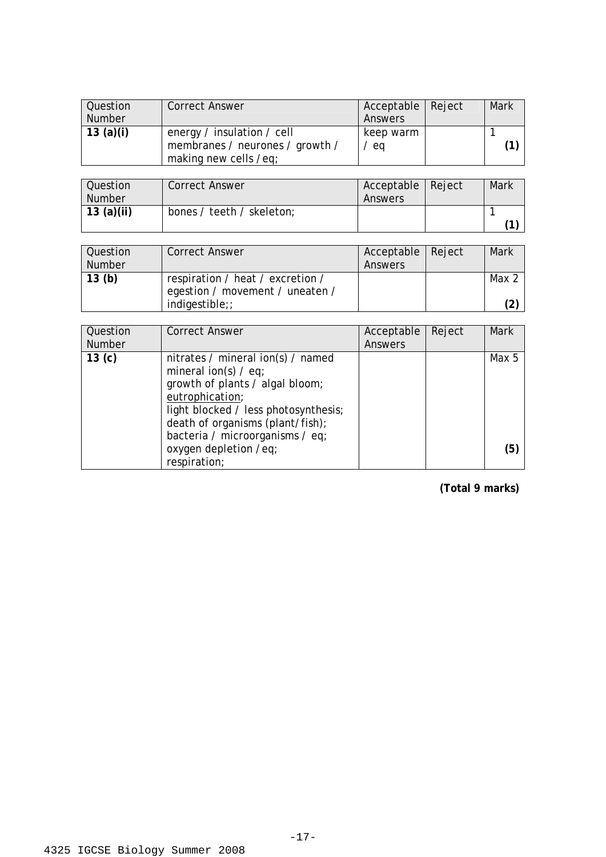| Question  | <b>Correct Answer</b>           | Acceptable   Reject | <b>Mark</b> |
|-----------|---------------------------------|---------------------|-------------|
| Number    |                                 | Answers             |             |
| 13 (a)(i) | energy / insulation / cell      | keep warm           |             |
|           | membranes / neurones / growth / | eq                  |             |
|           | making new cells /eq;           |                     |             |

| Question<br>Number | <b>Correct Answer</b>     | Acceptable   Reject<br>Answers | Mark |
|--------------------|---------------------------|--------------------------------|------|
| $\vert$ 13 (a)(ii) | bones / teeth / skeleton; |                                |      |

| Question | <b>Correct Answer</b>            | Acceptable   Reject | Mark  |
|----------|----------------------------------|---------------------|-------|
| Number   |                                  | Answers             |       |
| 13(b)    | respiration / heat / excretion / |                     | Max 2 |
|          | egestion / movement / uneaten /  |                     |       |
|          | $indigestible$ ;                 |                     |       |

| Question          | <b>Correct Answer</b>                                                                          | Acceptable | Reject | <b>Mark</b> |
|-------------------|------------------------------------------------------------------------------------------------|------------|--------|-------------|
| <b>Number</b>     |                                                                                                | Answers    |        |             |
| 13 <sub>(c)</sub> | nitrates / mineral ion(s) / named<br>mineral ion(s) $/$ eq;<br>growth of plants / algal bloom; |            |        | Max 5       |
|                   | eutrophication;<br>light blocked / less photosynthesis;<br>death of organisms (plant/fish);    |            |        |             |
|                   | bacteria / microorganisms / eq;<br>oxygen depletion /eq;<br>respiration;                       |            |        | (5)         |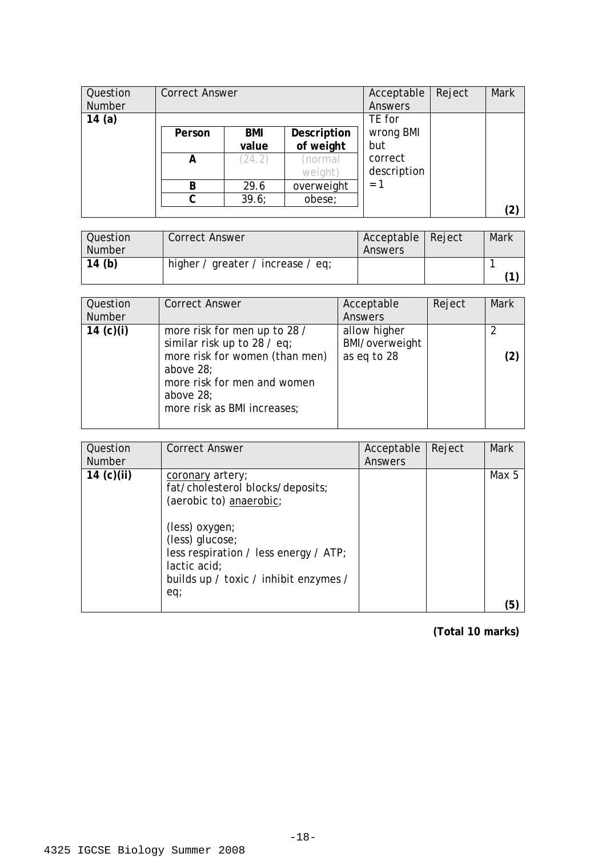| Question<br><b>Number</b> | <b>Correct Answer</b> |        |             | Acceptable<br>Answers | Reject | <b>Mark</b>       |
|---------------------------|-----------------------|--------|-------------|-----------------------|--------|-------------------|
| 14(a)                     |                       |        |             | TE for                |        |                   |
|                           | Person                | BMI    | Description | wrong BMI             |        |                   |
|                           |                       | value  | of weight   | but                   |        |                   |
|                           | A                     | (24.2) | (normal     | correct               |        |                   |
|                           |                       |        | weight)     | description           |        |                   |
|                           | B                     | 29.6   | overweight  | $= 1$                 |        |                   |
|                           | C                     | 39.6;  | obese;      |                       |        |                   |
|                           |                       |        |             |                       |        | $\left( 2\right)$ |

| Question<br><b>Number</b> | <b>Correct Answer</b>             | Acceptable   Reject<br>Answers | Mark |
|---------------------------|-----------------------------------|--------------------------------|------|
| 14(h)                     | higher / greater / increase / eq; |                                |      |

| Question<br><b>Number</b> | <b>Correct Answer</b>                                                                                                                                                                 | Acceptable<br>Answers                         | Reject | <b>Mark</b> |
|---------------------------|---------------------------------------------------------------------------------------------------------------------------------------------------------------------------------------|-----------------------------------------------|--------|-------------|
| 14 $(c)(i)$               | more risk for men up to 28 /<br>similar risk up to 28 / eq;<br>more risk for women (than men)<br>above 28;<br>more risk for men and women<br>above 28;<br>more risk as BMI increases; | allow higher<br>BMI/overweight<br>as eq to 28 |        |             |

| Question<br><b>Number</b> | <b>Correct Answer</b>                                                                                                                                                                                                            | Acceptable<br>Answers | Reject | Mark  |
|---------------------------|----------------------------------------------------------------------------------------------------------------------------------------------------------------------------------------------------------------------------------|-----------------------|--------|-------|
| 14 $(c)(ii)$              | coronary artery;<br>fat/cholesterol blocks/deposits;<br>(aerobic to) anaerobic;<br>(less) oxygen;<br>(less) glucose;<br>less respiration / less energy / $ATP$ ;<br>lactic acid;<br>builds up / toxic / inhibit enzymes /<br>eq; |                       |        | Max 5 |
|                           |                                                                                                                                                                                                                                  |                       |        | [5]   |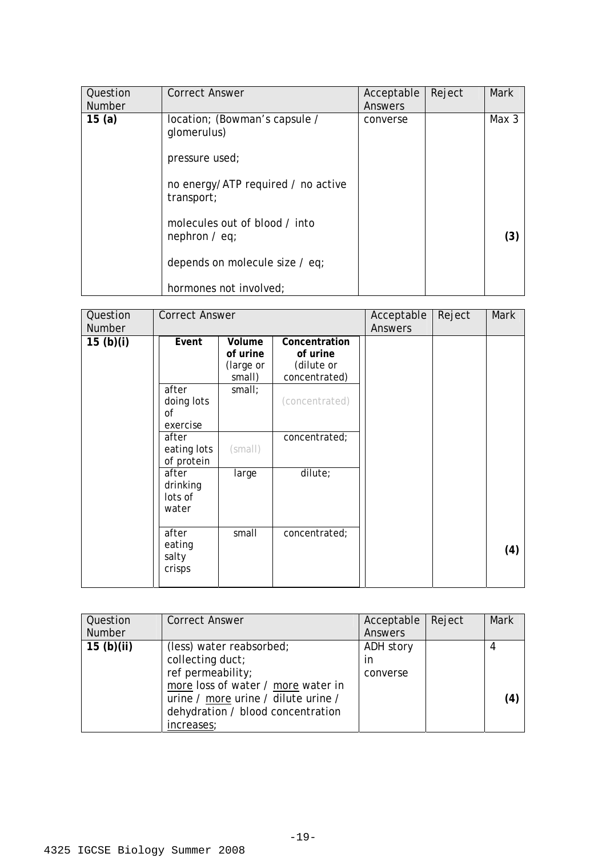| Question<br><b>Number</b> | <b>Correct Answer</b>                                          | Acceptable<br>Answers | Reject | <b>Mark</b> |
|---------------------------|----------------------------------------------------------------|-----------------------|--------|-------------|
| 15(a)                     | location; (Bowman's capsule /<br>glomerulus)<br>pressure used; | converse              |        | Max 3       |
|                           | no energy/ATP required / no active<br>transport;               |                       |        |             |
|                           | molecules out of blood / into<br>nephron $/$ eq;               |                       |        | (3)         |
|                           | depends on molecule size / eq;                                 |                       |        |             |
|                           | hormones not involved;                                         |                       |        |             |

| Question<br>Number | <b>Correct Answer</b>                 |                                           |                                                          | Acceptable<br><b>Answers</b> | Reject | Mark |
|--------------------|---------------------------------------|-------------------------------------------|----------------------------------------------------------|------------------------------|--------|------|
| 15(b)(i)           | Event                                 | Volume<br>of urine<br>(large or<br>small) | Concentration<br>of urine<br>(dilute or<br>concentrated) |                              |        |      |
|                    | after<br>doing lots<br>0f<br>exercise | small;                                    | (concentrated)                                           |                              |        |      |
|                    | after<br>eating lots<br>of protein    | (small)                                   | concentrated;                                            |                              |        |      |
|                    | after<br>drinking<br>lots of<br>water | large                                     | dilute;                                                  |                              |        |      |
|                    | after<br>eating<br>salty<br>crisps    | small                                     | concentrated;                                            |                              |        | (4)  |

| Question<br><b>Number</b> | <b>Correct Answer</b>                                                                                                                                                                             | Acceptable<br>Answers       | Reject | <b>Mark</b> |
|---------------------------|---------------------------------------------------------------------------------------------------------------------------------------------------------------------------------------------------|-----------------------------|--------|-------------|
| 15(b)(ii)                 | (less) water reabsorbed;<br>collecting duct;<br>ref permeability;<br>more loss of water / more water in<br>urine / more urine / dilute urine /<br>dehydration / blood concentration<br>increases; | ADH story<br>in<br>converse |        | 4<br>(4     |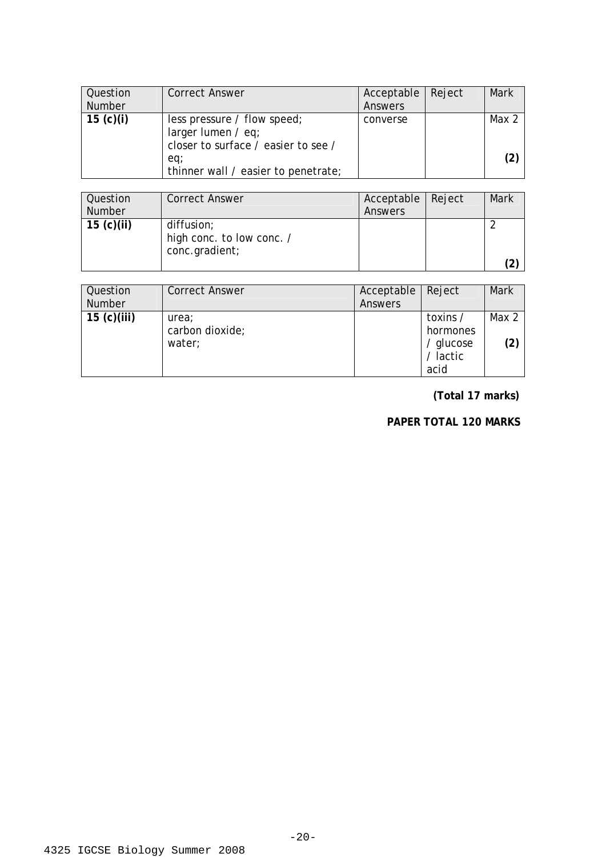| Question<br><b>Number</b> | <b>Correct Answer</b>                                                                      | Acceptable   Reject<br>Answers | Mark  |
|---------------------------|--------------------------------------------------------------------------------------------|--------------------------------|-------|
| 15 (c)(i)                 | less pressure / flow speed;<br>larger lumen $/$ eq;<br>closer to surface / easier to see / | converse                       | Max 2 |
|                           | eq;<br>thinner wall / easier to penetrate;                                                 |                                |       |

| Question<br><b>Number</b> | <b>Correct Answer</b>                                     | Acceptable<br>Answers | Reject | <b>Mark</b> |
|---------------------------|-----------------------------------------------------------|-----------------------|--------|-------------|
| 15 $(c)(ii)$              | diffusion;<br>high conc. to low conc. /<br>conc.gradient; |                       |        |             |

| Question<br>Number | <b>Correct Answer</b>              | Acceptable   Reject<br>Answers |                                                       | <b>Mark</b>  |
|--------------------|------------------------------------|--------------------------------|-------------------------------------------------------|--------------|
| 15 $(c)(iii)$      | urea;<br>carbon dioxide;<br>water; |                                | toxins /<br>hormones<br>/ glucose<br>/ lactic<br>acid | Max 2<br>(2) |

**(Total 17 marks)** 

#### **PAPER TOTAL 120 MARKS**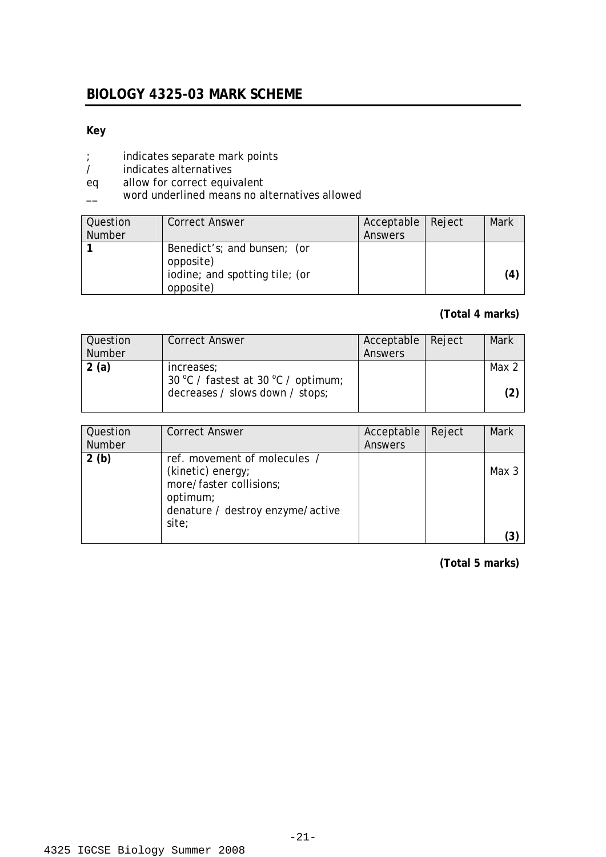## **BIOLOGY 4325-03 MARK SCHEME**

#### **Key**

- ; indicates separate mark points
- / indicates alternatives
- eq allow for correct equivalent
- \_\_ word underlined means no alternatives allowed

| Question      | <b>Correct Answer</b>                                                                   | Acceptable   Reject | Mark |
|---------------|-----------------------------------------------------------------------------------------|---------------------|------|
| <b>Number</b> |                                                                                         | Answers             |      |
|               | Benedict's; and bunsen; (or<br>opposite)<br>iodine; and spotting tile; (or<br>opposite) |                     | (4)  |

#### **(Total 4 marks)**

| Question<br><b>Number</b> | <b>Correct Answer</b>                                                                | Acceptable   Reject<br>Answers | Mark         |
|---------------------------|--------------------------------------------------------------------------------------|--------------------------------|--------------|
| 2(a)                      | increases;<br>30 °C / fastest at 30 °C / optimum;<br>decreases / slows down / stops; |                                | Max 2<br>(2) |

| Question<br><b>Number</b> | <b>Correct Answer</b>                                                                                                                 | Acceptable<br>Answers | Reject | Mark  |
|---------------------------|---------------------------------------------------------------------------------------------------------------------------------------|-----------------------|--------|-------|
| 2(b)                      | ref. movement of molecules /<br>(kinetic) energy;<br>more/faster collisions;<br>optimum;<br>denature / destroy enzyme/active<br>site; |                       |        | Max 3 |
|                           |                                                                                                                                       |                       |        |       |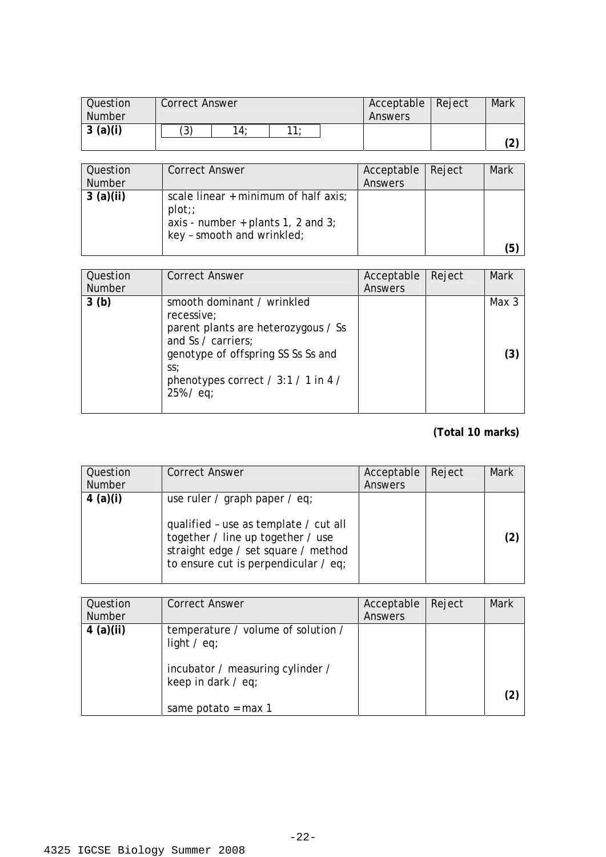| <b>Question</b><br><b>Number</b> | <b>Correct Answer</b> |     |     | Acceptable   Reject<br>Answers | Mark |                            |
|----------------------------------|-----------------------|-----|-----|--------------------------------|------|----------------------------|
| 3(a)(i)                          | (3)                   | 14: | 11. |                                |      | $\tilde{\phantom{a}}$<br>∠ |

| Question<br><b>Number</b> | <b>Correct Answer</b>                                                                                              | Acceptable<br>Answers | Reject | Mark |
|---------------------------|--------------------------------------------------------------------------------------------------------------------|-----------------------|--------|------|
| 3(a)(ii)                  | scale linear $+$ minimum of half axis;<br>plot<br>axis - number + plants 1, 2 and 3;<br>key - smooth and wrinkled; |                       |        | (5)  |

| Question<br><b>Number</b> | <b>Correct Answer</b>                                                                                                                                                                                       | Acceptable<br>Answers | Reject | Mark         |
|---------------------------|-------------------------------------------------------------------------------------------------------------------------------------------------------------------------------------------------------------|-----------------------|--------|--------------|
| 3(b)                      | smooth dominant / wrinkled<br>recessive;<br>parent plants are heterozygous / Ss<br>and Ss / carriers;<br>genotype of offspring SS Ss Ss and<br>SS:<br>phenotypes correct / $3:1$ / 1 in 4 /<br>$25\%$ / eq; |                       |        | Max 3<br>(3) |

| Question<br><b>Number</b> | <b>Correct Answer</b>                                                                                                                                                                      | Acceptable<br>Answers | Reject | <b>Mark</b> |
|---------------------------|--------------------------------------------------------------------------------------------------------------------------------------------------------------------------------------------|-----------------------|--------|-------------|
| 4 (a)(i)                  | use ruler / graph paper / eq;<br>qualified - use as template / cut all<br>together / line up together / use<br>straight edge / set square / method<br>to ensure cut is perpendicular / eq; |                       |        |             |

| Question<br><b>Number</b> | <b>Correct Answer</b>                                                                                                                          | Acceptable<br>Answers | Reject | <b>Mark</b> |
|---------------------------|------------------------------------------------------------------------------------------------------------------------------------------------|-----------------------|--------|-------------|
| $4$ (a)(ii)               | temperature / volume of solution /<br>light $\ell$ eq;<br>incubator / measuring cylinder /<br>keep in dark $\ell$ eq;<br>same potato = $max 1$ |                       |        |             |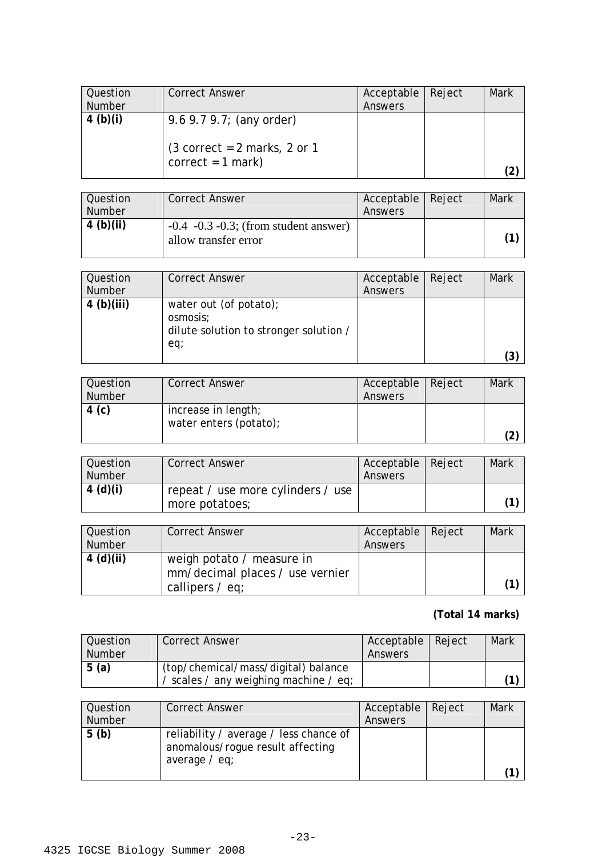| <b>Question</b><br>Number | Correct Answer                                         | Acceptable<br>Answers | Reject | Mark |
|---------------------------|--------------------------------------------------------|-----------------------|--------|------|
| 4 (b)(i)                  | 9.6 $9.7$ $9.7$ ; (any order)                          |                       |        |      |
|                           | $(3 correct = 2 marks, 2 or 1)$<br>$correct = 1 mark)$ |                       |        |      |

| Question<br><b>Number</b> | <b>Correct Answer</b>                                                | Acceptable   Reject<br>Answers | Mark |
|---------------------------|----------------------------------------------------------------------|--------------------------------|------|
| 4(b)(ii)                  | $-0.4$ $-0.3$ $-0.3$ ; (from student answer)<br>allow transfer error |                                |      |

| Question      | <b>Correct Answer</b>                                                               | Acceptable | Reject | <b>Mark</b>  |
|---------------|-------------------------------------------------------------------------------------|------------|--------|--------------|
| <b>Number</b> |                                                                                     | Answers    |        |              |
| 4(b)(iii)     | water out (of potato);<br>osmosis;<br>dilute solution to stronger solution /<br>eq; |            |        | $^{\prime}3$ |

| Question<br>Number | <b>Correct Answer</b>                         | Acceptable   Reject<br>Answers | Mark |
|--------------------|-----------------------------------------------|--------------------------------|------|
| 4 (c)              | increase in length;<br>water enters (potato); |                                | 2)   |

| Question<br><b>Number</b> | <b>Correct Answer</b>                               | Acceptable   Reject<br>Answers | Mark |
|---------------------------|-----------------------------------------------------|--------------------------------|------|
| 4 (d)(i)                  | repeat / use more cylinders / use<br>more potatoes; |                                |      |

| <b>Question</b><br>Number | <b>Correct Answer</b>                                                                | Acceptable   Reject<br>Answers | Mark |
|---------------------------|--------------------------------------------------------------------------------------|--------------------------------|------|
| 4 (d)(ii)                 | weigh potato / measure in<br>mm/decimal places / use vernier<br>callipers $\ell$ eq; |                                |      |

| <b>Question</b><br>Number | <b>Correct Answer</b>                                                        | Acceptable   Reject<br>Answers | Mark |
|---------------------------|------------------------------------------------------------------------------|--------------------------------|------|
| 5(a)                      | (top/chemical/mass/digital) balance<br>/ scales / any weighing machine / eq; |                                |      |

| Question<br><b>Number</b> | <b>Correct Answer</b>                                                                         | Acceptable   Reject<br>Answers | Mark |
|---------------------------|-----------------------------------------------------------------------------------------------|--------------------------------|------|
| 5(b)                      | reliability / average / less chance of<br>anomalous/rogue result affecting<br>average $/$ eq; |                                |      |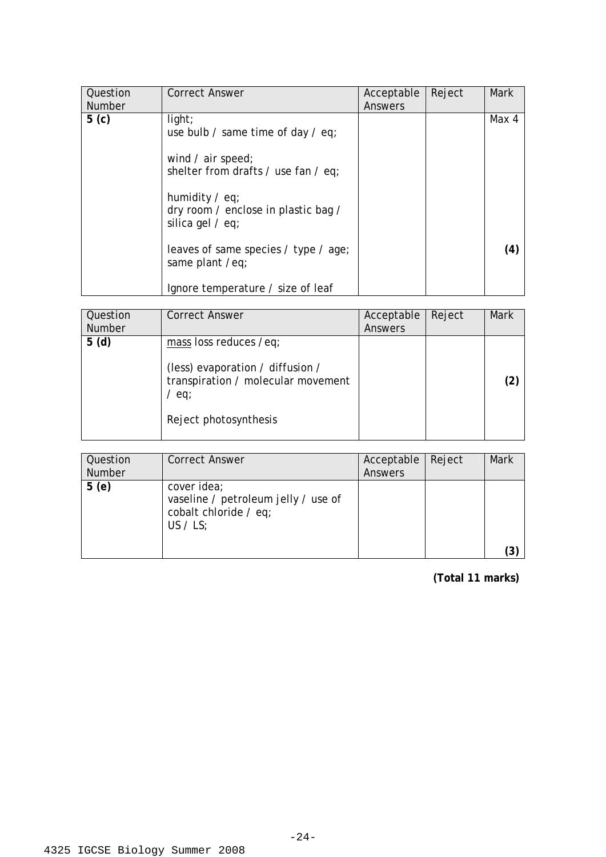| Question<br><b>Number</b> | <b>Correct Answer</b>                                                                                        | Acceptable<br>Answers | Reject | <b>Mark</b> |
|---------------------------|--------------------------------------------------------------------------------------------------------------|-----------------------|--------|-------------|
| 5 <sub>(c)</sub>          | light;<br>use bulb / same time of day / eq;<br>wind $\ell$ air speed;<br>shelter from drafts / use fan / eq; |                       |        | Max 4       |
|                           | humidity $\ell$ eq;<br>dry room / enclose in plastic bag /<br>silica gel $/$ eq;                             |                       |        |             |
|                           | leaves of same species / type / age;<br>same plant /eq;                                                      |                       |        | (4)         |
|                           | Ignore temperature / size of leaf                                                                            |                       |        |             |

| Question<br><b>Number</b> | <b>Correct Answer</b>                                                                                                                | Acceptable<br>Answers | Reject | <b>Mark</b> |
|---------------------------|--------------------------------------------------------------------------------------------------------------------------------------|-----------------------|--------|-------------|
| 5(d)                      | mass loss reduces /eq;<br>(less) evaporation / diffusion /<br>transpiration / molecular movement<br>$/$ eq;<br>Reject photosynthesis |                       |        |             |

| Question<br><b>Number</b> | <b>Correct Answer</b>                                                                     | Acceptable<br><b>Answers</b> | Reject | Mark |
|---------------------------|-------------------------------------------------------------------------------------------|------------------------------|--------|------|
| 5(e)                      | cover idea;<br>vaseline / petroleum jelly / use of<br>cobalt chloride / eq;<br>US $/$ LS; |                              |        |      |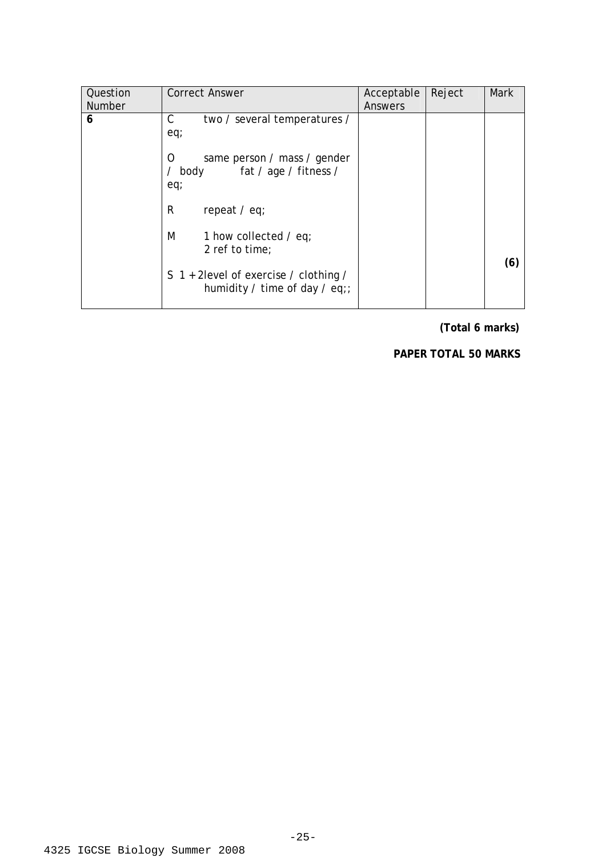| Question<br><b>Number</b> | <b>Correct Answer</b>                                                                                                | Acceptable<br>Answers | Reject | <b>Mark</b> |
|---------------------------|----------------------------------------------------------------------------------------------------------------------|-----------------------|--------|-------------|
| 6                         | С<br>two / several temperatures /<br>eq;<br>same person / mass / gender<br>Ω<br>fat / age / fitness /<br>body<br>eq; |                       |        |             |
|                           | R<br>repeat $/$ eq;                                                                                                  |                       |        |             |
|                           | M<br>1 how collected $\ell$ eq;<br>2 ref to time;                                                                    |                       |        | (6)         |
|                           | S 1 + 2 level of exercise / clothing /<br>humidity / time of day / eq;;                                              |                       |        |             |

**(Total 6 marks)** 

**PAPER TOTAL 50 MARKS**